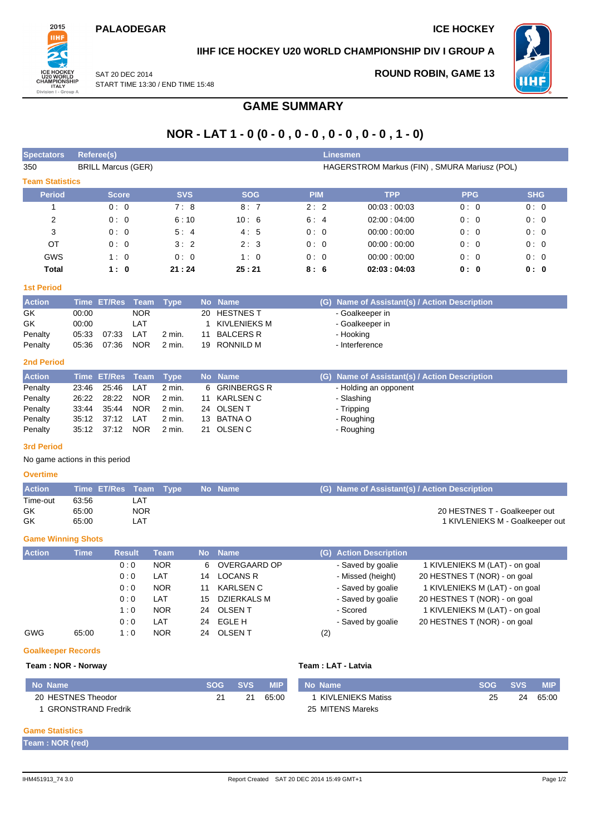

## **IIHF ICE HOCKEY U20 WORLD CHAMPIONSHIP DIV I GROUP A**

SAT 20 DEC 2014 START TIME 13:30 / END TIME 15:48 **ROUND ROBIN, GAME 13**



# **GAME SUMMARY**

## **NOR - LAT 1 - 0 (0 - 0 , 0 - 0 , 0 - 0 , 0 - 0 , 1 - 0)**

| <b>Spectators</b>      | Referee(s)                |                                              |            | <b>Linesmen</b> |             |            |            |  |  |  |  |
|------------------------|---------------------------|----------------------------------------------|------------|-----------------|-------------|------------|------------|--|--|--|--|
| 350                    | <b>BRILL Marcus (GER)</b> | HAGERSTROM Markus (FIN), SMURA Mariusz (POL) |            |                 |             |            |            |  |  |  |  |
| <b>Team Statistics</b> |                           |                                              |            |                 |             |            |            |  |  |  |  |
| <b>Period</b>          | <b>Score</b>              | <b>SVS</b>                                   | <b>SOG</b> | <b>PIM</b>      | <b>TPP</b>  | <b>PPG</b> | <b>SHG</b> |  |  |  |  |
|                        | 0:0                       | 7:8                                          | 8:7        | 2:2             | 00:03:00:03 | 0:0        | 0:0        |  |  |  |  |
| 2                      | 0:0                       | 6:10                                         | 10:6       | 6:4             | 02:00:04:00 | 0:0        | 0:0        |  |  |  |  |
| 3                      | 0:0                       | 5:4                                          | 4:5        | 0:0             | 00:00:00:00 | 0:0        | 0:0        |  |  |  |  |
| <b>OT</b>              | 0:0                       | 3:2                                          | 2:3        | 0:0             | 00:00:00:00 | 0:0        | 0:0        |  |  |  |  |
| <b>GWS</b>             | 1:0                       | 0:0                                          | 1:0        | 0:0             | 00:00:00:00 | 0:0        | 0:0        |  |  |  |  |
| Total                  | 1:0                       | 21:24                                        | 25:21      | 8:6             | 02:03:04:03 | 0: 0       | 0: 0       |  |  |  |  |

### **1st Period**

| <b>Action</b> |       | Time ET/Res Team Type |            |        |    | No Name          | (G) Name of Assistant(s) / Action Description |
|---------------|-------|-----------------------|------------|--------|----|------------------|-----------------------------------------------|
| GK            | 00:00 |                       | <b>NOR</b> |        |    | 20 HESTNES T     | - Goalkeeper in                               |
| GK            | 00:00 |                       | LAT        |        |    | KIVLENIEKS M     | - Goalkeeper in                               |
| Penalty       | 05:33 | 07:33                 | LAT        | 2 min. | 11 | <b>BALCERS R</b> | - Hooking                                     |
| Penalty       | 05:36 | 07:36                 | <b>NOR</b> | 2 min. |    | 19 RONNILD M     | - Interference                                |

#### **2nd Period**

| <b>Action</b> |       | Time ET/Res Team Type |            |        |    | No Name       | (G) Name of Assistant(s) / Action Description |
|---------------|-------|-----------------------|------------|--------|----|---------------|-----------------------------------------------|
| Penalty       | 23:46 | 25:46                 | LAT        | 2 min. |    | 6 GRINBERGS R | - Holding an opponent                         |
| Penalty       |       | 26:22 28:22           | <b>NOR</b> | 2 min. | 11 | KARLSEN C     | - Slashing                                    |
| Penalty       | 33:44 | 35.44                 | NOR        | 2 min. |    | 24 OLSEN T    | - Tripping                                    |
| Penalty       |       | 35:12 37:12           | LAT        | 2 min. |    | 13 BATNA O    | - Roughing                                    |
| Penalty       |       | 35:12 37:12 NOR       |            | 2 min. |    | 21 OLSEN C    | - Roughing                                    |

#### **3rd Period**

No game actions in this period

#### **Overtime**

| <b>Action</b> | Time ET/Res Team Type |            |  | Mo Name No | (G) Name of Assistant(s) / Action Description |
|---------------|-----------------------|------------|--|------------|-----------------------------------------------|
| Time-out      | 63:56                 | LA1        |  |            |                                               |
| GK            | 65:00                 | <b>NOR</b> |  |            | 20 HESTNES T - Goalkeeper out                 |
| GK            | 65:00                 | LAT        |  |            | 1 KIVLENIEKS M - Goalkeeper out               |

#### **Game Winning Shots**

| <b>Action</b> | <b>Time</b> | <b>Result</b> | <b>Team</b> |    | No Name          | (G) Action Description |                                |
|---------------|-------------|---------------|-------------|----|------------------|------------------------|--------------------------------|
|               |             | 0:0           | <b>NOR</b>  | 6  | OVERGAARD OP     | - Saved by goalie      | 1 KIVLENIEKS M (LAT) - on goal |
|               |             | 0:0           | LAT         | 14 | <b>LOCANS R</b>  | - Missed (height)      | 20 HESTNES T (NOR) - on goal   |
|               |             | 0:0           | <b>NOR</b>  |    | <b>KARLSEN C</b> | - Saved by goalie      | 1 KIVLENIEKS M (LAT) - on goal |
|               |             | 0:0           | LAT         | 15 | DZIERKALS M      | - Saved by goalie      | 20 HESTNES T (NOR) - on goal   |
|               |             | 1:0           | <b>NOR</b>  | 24 | <b>OLSENT</b>    | - Scored               | 1 KIVLENIEKS M (LAT) - on goal |
|               |             | 0:0           | LAT         | 24 | EGLE H           | - Saved by goalie      | 20 HESTNES T (NOR) - on goal   |
| <b>GWG</b>    | 65:00       | 1:0           | <b>NOR</b>  | 24 | <b>OLSEN T</b>   | (2)                    |                                |

#### **Goalkeeper Records**

#### **Team : NOR - Norway Team : LAT - Latvia**

| ∣ No Name <sup>∖</sup>    | <b>SOG</b> | <b>SVS</b> | <b>MIP</b> | No Name           | <b>SOG</b> | <b>SVS</b> | <b>MIP</b> |
|---------------------------|------------|------------|------------|-------------------|------------|------------|------------|
| 20 HESTNES Theodor        |            | 21         | 65:00      | KIVLENIEKS Matiss | 25         | 24         | 65:00      |
| <b>GRONSTRAND Fredrik</b> |            |            |            | 25 MITENS Mareks  |            |            |            |

### **Game Statistics**

**Team : NOR (red)**